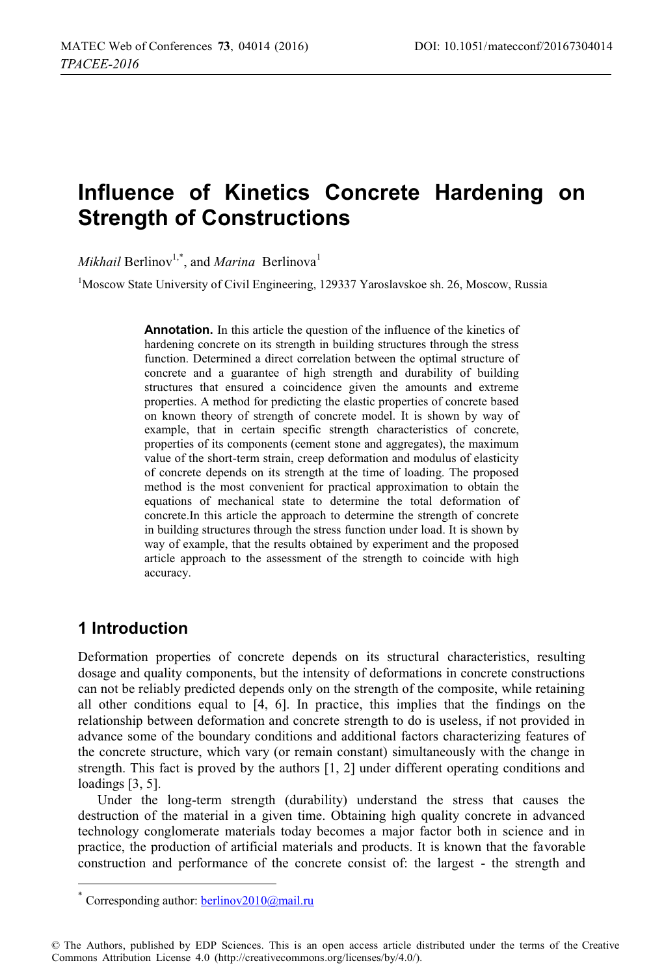# **Influence of Kinetics Concrete Hardening on Strength of Constructions**

*Mikhail* Berlinov<sup>1,\*</sup>, and *Marina* Berlinova<sup>1</sup>

<sup>1</sup>Moscow State University of Civil Engineering, 129337 Yaroslavskoe sh. 26, Moscow, Russia

**Annotation.** In this article the question of the influence of the kinetics of hardening concrete on its strength in building structures through the stress function. Determined a direct correlation between the optimal structure of concrete and a guarantee of high strength and durability of building structures that ensured a coincidence given the amounts and extreme properties. A method for predicting the elastic properties of concrete based on known theory of strength of concrete model. It is shown by way of example, that in certain specific strength characteristics of concrete, properties of its components (cement stone and aggregates), the maximum value of the short-term strain, creep deformation and modulus of elasticity of concrete depends on its strength at the time of loading. The proposed method is the most convenient for practical approximation to obtain the equations of mechanical state to determine the total deformation of concrete.In this article the approach to determine the strength of concrete in building structures through the stress function under load. It is shown by way of example, that the results obtained by experiment and the proposed article approach to the assessment of the strength to coincide with high accuracy.

# **1 Introduction**

 $\overline{a}$ 

Deformation properties of concrete depends on its structural characteristics, resulting dosage and quality components, but the intensity of deformations in concrete constructions can not be reliably predicted depends only on the strength of the composite, while retaining all other conditions equal to [4, 6]. In practice, this implies that the findings on the relationship between deformation and concrete strength to do is useless, if not provided in advance some of the boundary conditions and additional factors characterizing features of the concrete structure, which vary (or remain constant) simultaneously with the change in strength. This fact is proved by the authors [1, 2] under different operating conditions and loadings [3, 5].

Under the long-term strength (durability) understand the stress that causes the destruction of the material in a given time. Obtaining high quality concrete in advanced technology conglomerate materials today becomes a major factor both in science and in practice, the production of artificial materials and products. It is known that the favorable construction and performance of the concrete consist of: the largest - the strength and

Corresponding author: berlinov2010@mail.ru

<sup>©</sup> The Authors, published by EDP Sciences. This is an open access article distributed under the terms of the Creative Commons Attribution License 4.0 (http://creativecommons.org/licenses/by/4.0/).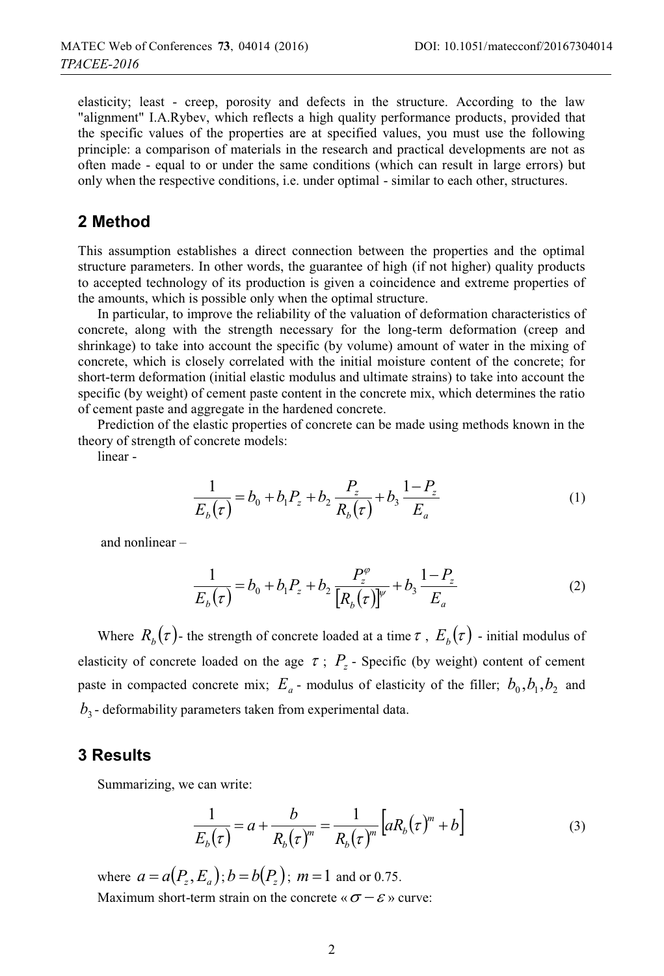elasticity; least - creep, porosity and defects in the structure. According to the law "alignment" I.A.Rybev, which reflects a high quality performance products, provided that the specific values of the properties are at specified values, you must use the following principle: a comparison of materials in the research and practical developments are not as often made - equal to or under the same conditions (which can result in large errors) but only when the respective conditions, i.e. under optimal - similar to each other, structures.

## **2 Method**

This assumption establishes a direct connection between the properties and the optimal structure parameters. In other words, the guarantee of high (if not higher) quality products to accepted technology of its production is given a coincidence and extreme properties of the amounts, which is possible only when the optimal structure.

In particular, to improve the reliability of the valuation of deformation characteristics of concrete, along with the strength necessary for the long-term deformation (creep and shrinkage) to take into account the specific (by volume) amount of water in the mixing of concrete, which is closely correlated with the initial moisture content of the concrete; for short-term deformation (initial elastic modulus and ultimate strains) to take into account the specific (by weight) of cement paste content in the concrete mix, which determines the ratio of cement paste and aggregate in the hardened concrete.

Prediction of the elastic properties of concrete can be made using methods known in the theory of strength of concrete models:

linear -

$$
\frac{1}{E_b(\tau)} = b_0 + b_1 P_z + b_2 \frac{P_z}{R_b(\tau)} + b_3 \frac{1 - P_z}{E_a}
$$
 (1)

and nonlinear –

$$
\frac{1}{E_b(\tau)} = b_0 + b_1 P_z + b_2 \frac{P_z^{\varphi}}{[R_b(\tau)]^{\psi}} + b_3 \frac{1 - P_z}{E_a}
$$
 (2)

Where  $R_b(\tau)$ - the strength of concrete loaded at a time  $\tau$ ,  $E_b(\tau)$ -initial modulus of elasticity of concrete loaded on the age  $\tau$ ;  $P_z$  - Specific (by weight) content of cement paste in compacted concrete mix;  $E_a$  - modulus of elasticity of the filler;  $b_0$ ,  $b_1$ ,  $b_2$  and  $b<sub>3</sub>$  - deformability parameters taken from experimental data.

#### **3 Results**

Summarizing, we can write:

$$
\frac{1}{E_b(\tau)} = a + \frac{b}{R_b(\tau)^m} = \frac{1}{R_b(\tau)^m} \left[ aR_b(\tau)^m + b \right] \tag{3}
$$

where  $a = a(P_z, E_a)$ ;  $b = b(P_z)$ ;  $m = 1$  and or 0.75. Maximum short-term strain on the concrete «  $\sigma - \varepsilon$  » curve: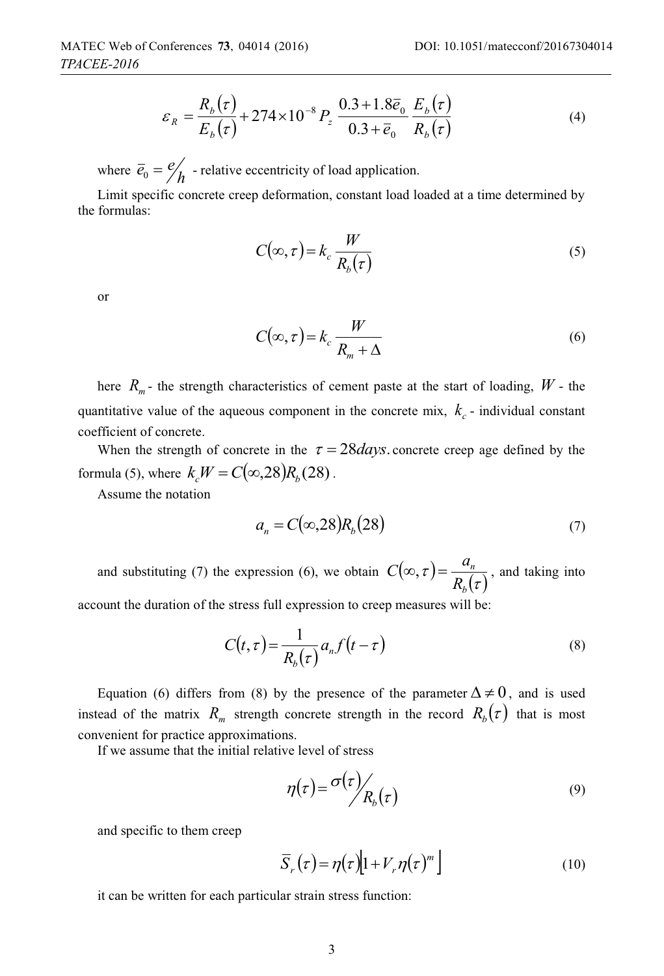$$
\varepsilon_R = \frac{R_b(\tau)}{E_b(\tau)} + 274 \times 10^{-8} P_z \frac{0.3 + 1.8 \bar{e}_0}{0.3 + \bar{e}_0} \frac{E_b(\tau)}{R_b(\tau)}
$$
(4)

where  $\overline{e}_0 = \frac{e}{h}$  - relative eccentricity of load application.

Limit specific concrete creep deformation, constant load loaded at a time determined by the formulas:

$$
C(\infty, \tau) = k_c \frac{W}{R_b(\tau)}
$$
\n(5)

or

$$
C(\infty, \tau) = k_c \frac{W}{R_m + \Delta} \tag{6}
$$

here  $R_m$ - the strength characteristics of cement paste at the start of loading,  $W$ - the quantitative value of the aqueous component in the concrete mix,  $k_c$  - individual constant coefficient of concrete.

When the strength of concrete in the  $\tau = 28 \text{ days}$ . concrete creep age defined by the formula (5), where  $k_c W = C(\infty, 28) R_b(28)$ .

Assume the notation

$$
a_n = C(\infty, 28) R_b(28) \tag{7}
$$

and substituting (7) the expression (6), we obtain  $C(\infty, \tau) = \frac{\alpha_n}{R_b(\tau)}$ *b n*  $C(\infty, \tau) = \frac{a_n}{R(\tau)}$ , and taking into account the duration of the stress full expression to creep measures will be:

$$
C(t,\tau) = \frac{1}{R_b(\tau)} a_n f(t-\tau)
$$
\n(8)

Equation (6) differs from (8) by the presence of the parameter  $\Delta \neq 0$ , and is used instead of the matrix  $R_m$  strength concrete strength in the record  $R_b(\tau)$  that is most convenient for practice approximations.

If we assume that the initial relative level of stress

$$
\eta(\tau) = \frac{\sigma(\tau)}{R_b(\tau)}\tag{9}
$$

and specific to them creep

$$
\overline{S}_r(\tau) = \eta(\tau) \left[ 1 + V_r \eta(\tau)^m \right] \tag{10}
$$

it can be written for each particular strain stress function: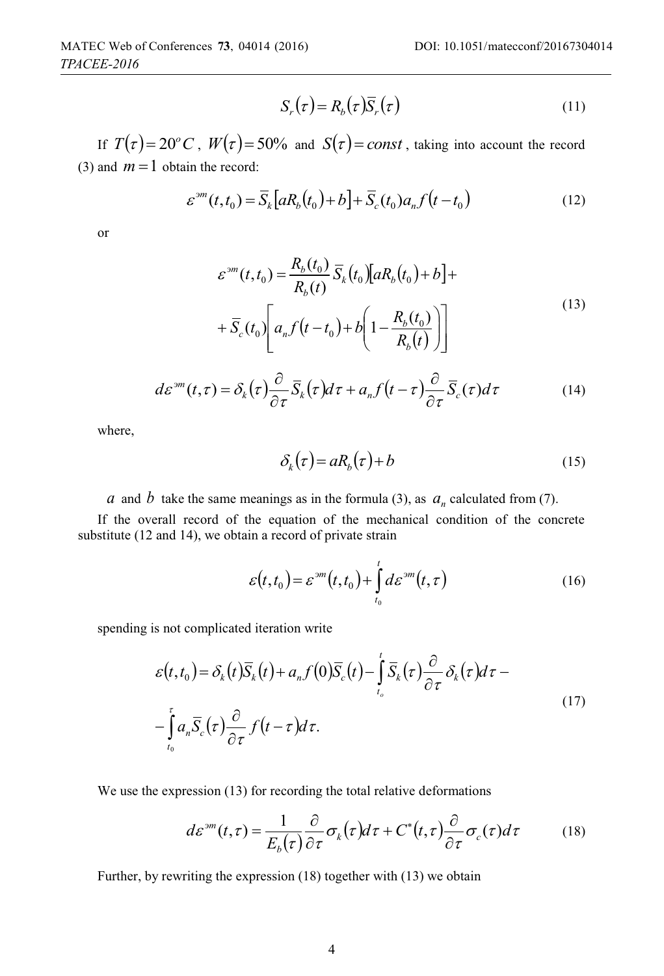$$
S_r(\tau) = R_b(\tau)\overline{S}_r(\tau) \tag{11}
$$

If  $T(\tau) = 20^{\circ} C$ ,  $W(\tau) = 50\%$  and  $S(\tau) = const$ , taking into account the record (3) and  $m = 1$  obtain the record:

$$
\varepsilon^{3m}(t,t_0) = \overline{S}_k \Big[ aR_b(t_0) + b \Big] + \overline{S}_c(t_0) a_n f\big(t - t_0\big) \tag{12}
$$

or

$$
\varepsilon^{3m}(t, t_0) = \frac{R_b(t_0)}{R_b(t)} \overline{S}_k(t_0) [aR_b(t_0) + b] +
$$
  
+ 
$$
\overline{S}_c(t_0) \left[ a_n f(t - t_0) + b \left( 1 - \frac{R_b(t_0)}{R_b(t)} \right) \right]
$$
 (13)

$$
d\varepsilon^{3m}(t,\tau) = \delta_k(\tau)\frac{\partial}{\partial \tau}\overline{S}_k(\tau)d\tau + a_n f(t-\tau)\frac{\partial}{\partial \tau}\overline{S}_c(\tau)d\tau
$$
 (14)

where,

$$
\delta_k(\tau) = aR_b(\tau) + b \tag{15}
$$

*a* and *b* take the same meanings as in the formula (3), as  $a_n$  calculated from (7).

If the overall record of the equation of the mechanical condition of the concrete substitute (12 and 14), we obtain a record of private strain

$$
\varepsilon(t,t_0) = \varepsilon^{3m}(t,t_0) + \int_{t_0}^t d\varepsilon^{3m}(t,\tau)
$$
\n(16)

spending is not complicated iteration write

$$
\varepsilon(t,t_0) = \delta_k(t)\overline{S}_k(t) + a_n f(0)\overline{S}_c(t) - \int_{t_0}^t \overline{S}_k(\tau)\frac{\partial}{\partial \tau} \delta_k(\tau) d\tau - \int_{t_0}^{\tau} a_n \overline{S}_c(\tau)\frac{\partial}{\partial \tau} f(t-\tau) d\tau.
$$
\n(17)

We use the expression (13) for recording the total relative deformations

$$
d\varepsilon^{3m}(t,\tau) = \frac{1}{E_b(\tau)} \frac{\partial}{\partial \tau} \sigma_k(\tau) d\tau + C^*(t,\tau) \frac{\partial}{\partial \tau} \sigma_c(\tau) d\tau \tag{18}
$$

Further, by rewriting the expression (18) together with (13) we obtain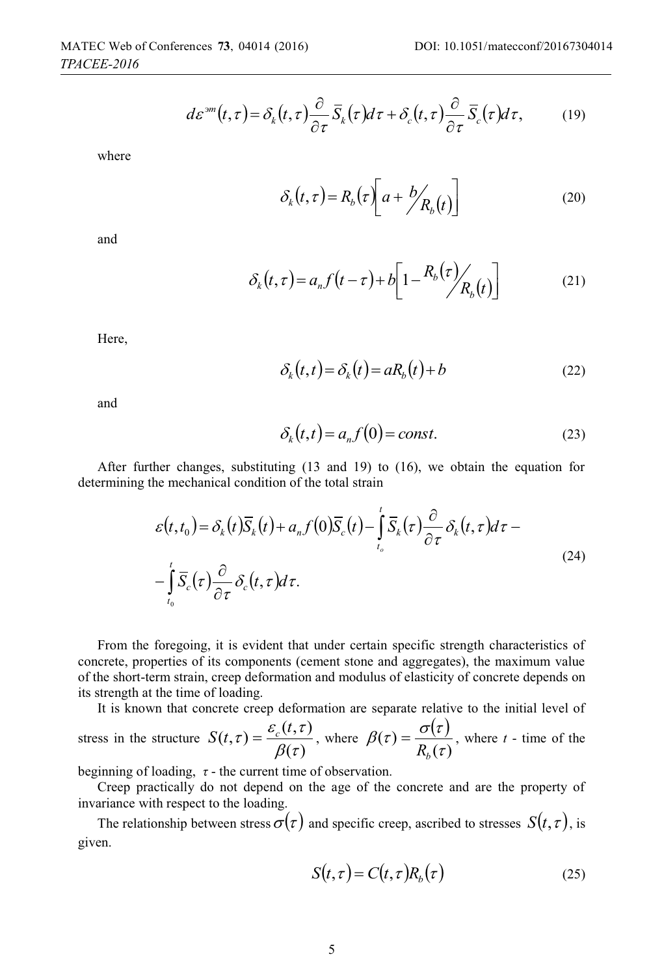$$
d\varepsilon^{3m}(t,\tau) = \delta_k(t,\tau)\frac{\partial}{\partial \tau}\overline{S}_k(\tau)d\tau + \delta_c(t,\tau)\frac{\partial}{\partial \tau}\overline{S}_c(\tau)d\tau, \qquad (19)
$$

where

$$
\delta_k(t,\tau) = R_b(\tau) \left[ a + \frac{b}{R_b(t)} \right] \tag{20}
$$

and

$$
\delta_k(t,\tau) = a_n f(t-\tau) + b \left[ 1 - \frac{R_b(\tau)}{R_b(t)} \right]
$$
 (21)

Here,

$$
\delta_k(t,t) = \delta_k(t) = aR_b(t) + b \tag{22}
$$

and

$$
\delta_k(t,t) = a_n f(0) = const.
$$
\n(23)

After further changes, substituting (13 and 19) to (16), we obtain the equation for determining the mechanical condition of the total strain

$$
\varepsilon(t,t_0) = \delta_k(t)\overline{S}_k(t) + a_n f(0)\overline{S}_c(t) - \int_{t_0}^t \overline{S}_k(\tau) \frac{\partial}{\partial \tau} \delta_k(t,\tau) d\tau - \int_{t_0}^t \overline{S}_c(\tau) \frac{\partial}{\partial \tau} \delta_c(t,\tau) d\tau.
$$
\n(24)

From the foregoing, it is evident that under certain specific strength characteristics of concrete, properties of its components (cement stone and aggregates), the maximum value of the short-term strain, creep deformation and modulus of elasticity of concrete depends on its strength at the time of loading.

It is known that concrete creep deformation are separate relative to the initial level of

stress in the structure  $S(t, \tau) = \frac{\varepsilon_c(t, \tau)}{\beta(\tau)}$ , where  $\beta(\tau) = \frac{\sigma(\tau)}{R_b(\tau)}$  $=\frac{O(t)}{R_b(\tau)}$ , where *t* - time of the

beginning of loading,  $\tau$  - the current time of observation.

Creep practically do not depend on the age of the concrete and are the property of invariance with respect to the loading.

The relationship between stress  $\sigma(\tau)$  and specific creep, ascribed to stresses  $S(t, \tau)$ , is given.

$$
S(t,\tau) = C(t,\tau)R_b(\tau) \tag{25}
$$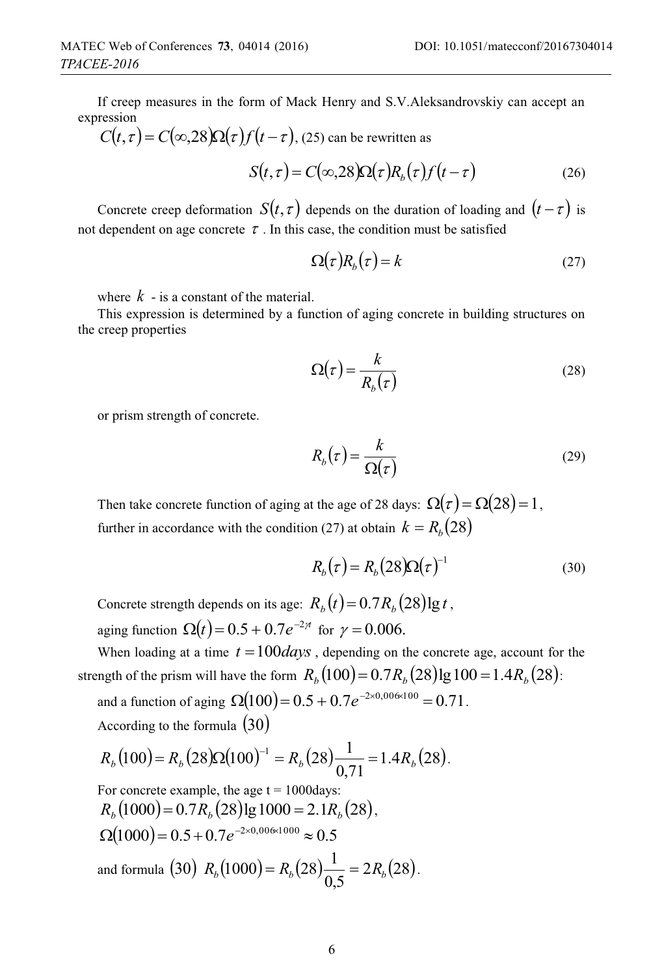If creep measures in the form of Mack Henry and S.V.Aleksandrovskiy can accept an expression

$$
C(t, \tau) = C(\infty, 28) \Omega(\tau) f(t - \tau), (25) \text{ can be rewritten as}
$$

$$
S(t,\tau) = C(\infty,28)\Omega(\tau)R_b(\tau)f(t-\tau)
$$
\n(26)

Concrete creep deformation  $S(t, \tau)$  depends on the duration of loading and  $(t - \tau)$  is not dependent on age concrete  $\tau$ . In this case, the condition must be satisfied

$$
\Omega(\tau)R_b(\tau) = k \tag{27}
$$

where  $k -$  is a constant of the material.

This expression is determined by a function of aging concrete in building structures on the creep properties

$$
\Omega(\tau) = \frac{k}{R_b(\tau)}\tag{28}
$$

or prism strength of concrete.

$$
R_b(\tau) = \frac{k}{\Omega(\tau)}\tag{29}
$$

Then take concrete function of aging at the age of 28 days:  $\Omega(\tau) = \Omega(28) = 1$ , further in accordance with the condition (27) at obtain  $k = R_b(28)$ 

$$
R_b(\tau) = R_b(28)\Omega(\tau)^{-1}
$$
\n(30)

Concrete strength depends on its age:  $R_b(t) = 0.7 R_b(28) \lg t$ , aging function  $\Omega(t) = 0.5 + 0.7 e^{-2\pi}$  for  $\gamma = 0.006$ .

When loading at a time  $t = 100 \text{ days}$ , depending on the concrete age, account for the strength of the prism will have the form  $R_b(100) = 0.7R_b(28)$ lg  $100 = 1.4R_b(28)$ :

and a function of aging  $\Omega(100) = 0.5 + 0.7 e^{-2 \times 0.00 \times 100} = 0.71$ . According to the formula  $(30)$ 

$$
R_b(100) = R_b(28)\Omega(100)^{-1} = R_b(28)\frac{1}{0,71} = 1.4R_b(28).
$$

For concrete example, the age  $t = 1000 \text{days}$ :  $R_b(1000) = 0.7R_b(28)$ lg  $1000 = 2.1R_b(28)$ ,  $\Omega(1000) = 0.5 + 0.7e^{-2 \times 0.006 \times 1000} \approx 0.5$ and formula (30)  $R_h(1000) = R_h(28) \frac{1}{2\pi} = 2R_h(28)$ 0,5  $R_b(1000) = R_b(28) \frac{1}{2.5} = 2R_b(28)$ .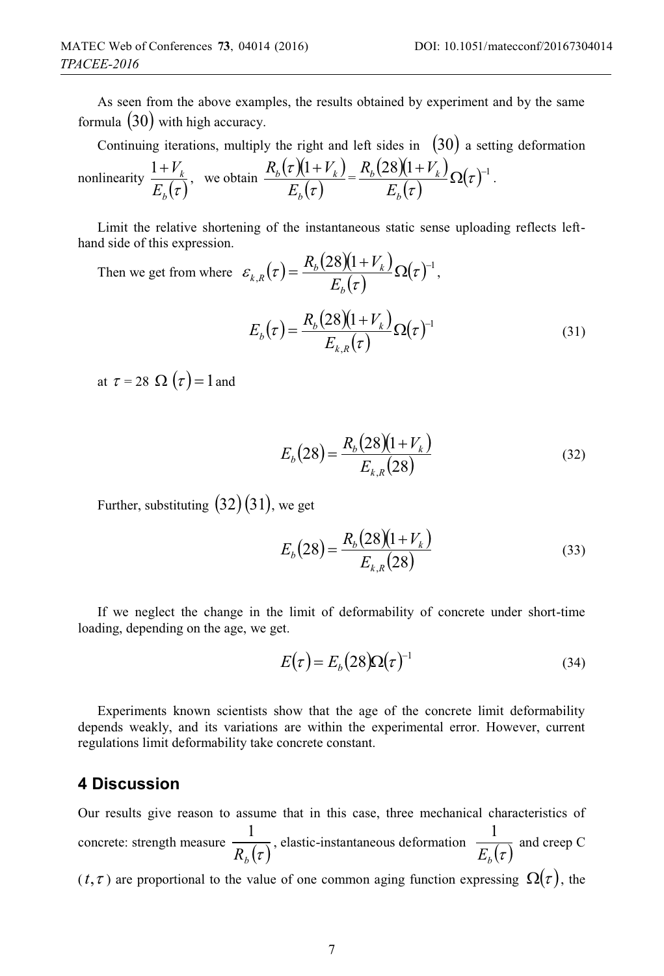As seen from the above examples, the results obtained by experiment and by the same formula  $(30)$  with high accuracy.

Continuing iterations, multiply the right and left sides in  $(30)$  a setting deformation

nonlinearity 
$$
\frac{1+V_k}{E_b(\tau)}
$$
, we obtain  $\frac{R_b(\tau)(1+V_k)}{E_b(\tau)} = \frac{R_b(28)(1+V_k)}{E_b(\tau)} \Omega(\tau)^{-1}$ .

Limit the relative shortening of the instantaneous static sense uploading reflects lefthand side of this expression.

Then we get from where  $\varepsilon_{k,R}(\tau) = \frac{R_b(28)(1+V_k)}{R_b(1+V_k)}$  $\mathcal{L}_{R}(\tau) \! = \! \frac{R_{b}(28)(1\!+\!V_{k})}{E_{b}(\tau)} \Omega(\tau)^{-1}$  $\mathcal{E}_{L}$ , I $\tau$ *b*  $R_{k,R}(\tau) = \frac{R_k(28)(1+V_k)}{E_k(\tau)}\Omega(\tau)^{-1},$  $\tau = \frac{R_b(28)(1+V_k)}{E_b(1+V_k)}$  $\frac{1+V_k}{(\tau)}\Omega(\tau)^{-1}$ ,  $=\frac{R_{b}(28)(1+V_{k})}{E_{b,n}(\tau)}\Omega(\tau)^{-1}$ τ *k R*  $E_b(\tau) = \frac{R_b(28)(1+V_k)}{E_b(\tau)} \Omega(\tau)^{-1}$  (31)

at  $\tau = 28 \Omega(\tau) = 1$  and

$$
E_b(28) = \frac{R_b(28)(1+V_k)}{E_{k,R}(28)}
$$
\n(32)

Further, substituting  $(32)(31)$ , we get

$$
E_b(28) = \frac{R_b(28)(1+V_k)}{E_{k,R}(28)}
$$
\n(33)

If we neglect the change in the limit of deformability of concrete under short-time loading, depending on the age, we get.

$$
E(\tau) = E_b(28)\Omega(\tau)^{-1}
$$
\n(34)

Experiments known scientists show that the age of the concrete limit deformability depends weakly, and its variations are within the experimental error. However, current regulations limit deformability take concrete constant.

# **4 Discussion**

Our results give reason to assume that in this case, three mechanical characteristics of concrete: strength measure  $\frac{R_b(\tau)}{R_b(\tau)}$ 1 , elastic-instantaneous deformation  $\frac{1}{E_b(\tau)}$  $\frac{1}{\sqrt{2}}$  and creep C  $(t, \tau)$  are proportional to the value of one common aging function expressing  $\Omega(\tau)$ , the